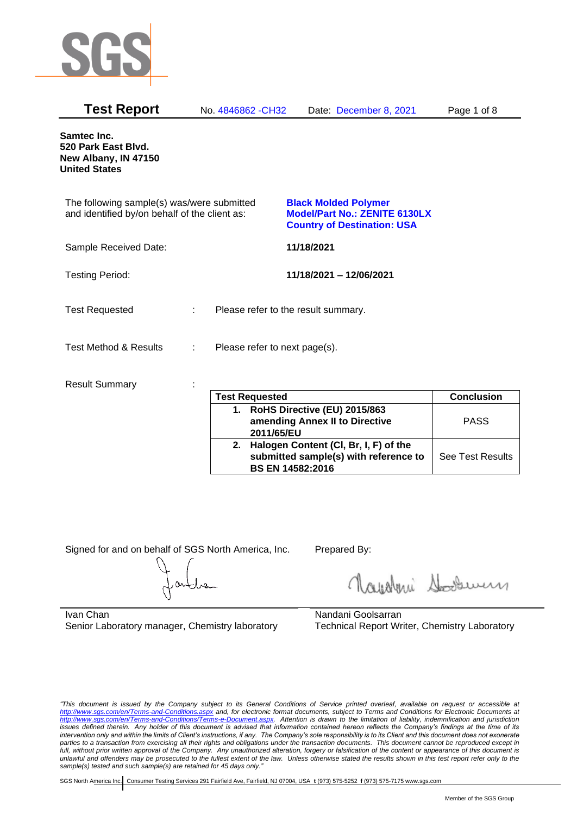

| <b>Test Report</b>                                                                          |   | No. 4846862 - CH32            | Date: December 8, 2021                                                                                    | Page 1 of 8 |
|---------------------------------------------------------------------------------------------|---|-------------------------------|-----------------------------------------------------------------------------------------------------------|-------------|
| <b>Samtec Inc.</b><br>520 Park East Blvd.<br>New Albany, IN 47150<br><b>United States</b>   |   |                               |                                                                                                           |             |
| The following sample(s) was/were submitted<br>and identified by/on behalf of the client as: |   |                               | <b>Black Molded Polymer</b><br><b>Model/Part No.: ZENITE 6130LX</b><br><b>Country of Destination: USA</b> |             |
| Sample Received Date:                                                                       |   |                               | 11/18/2021                                                                                                |             |
| <b>Testing Period:</b>                                                                      |   |                               | 11/18/2021 - 12/06/2021                                                                                   |             |
| <b>Test Requested</b>                                                                       | ÷ |                               | Please refer to the result summary.                                                                       |             |
| <b>Test Method &amp; Results</b>                                                            |   | Please refer to next page(s). |                                                                                                           |             |
| <b>Result Summary</b>                                                                       |   | <b>Tost Ponyasted</b>         |                                                                                                           | Conclusion  |

|    | <b>Test Requested</b>                 | <b>Conclusion</b>       |
|----|---------------------------------------|-------------------------|
| 1. | RoHS Directive (EU) 2015/863          |                         |
|    | amending Annex II to Directive        | <b>PASS</b>             |
|    | 2011/65/EU                            |                         |
| 2. | Halogen Content (CI, Br, I, F) of the |                         |
|    | submitted sample(s) with reference to | <b>See Test Results</b> |
|    | <b>BS EN 14582:2016</b>               |                         |

Signed for and on behalf of SGS North America, Inc. Prepared By:

Roughan Souri

Ivan Chan Senior Laboratory manager, Chemistry laboratory

Nandani Goolsarran Technical Report Writer, Chemistry Laboratory

*"This document is issued by the Company subject to its General Conditions of Service printed overleaf, available on request or accessible at <http://www.sgs.com/en/Terms-and-Conditions.aspx> and, for electronic format documents, subject to Terms and Conditions for Electronic Documents at [http://www.sgs.com/en/Terms-and-Conditions/Terms-e-Document.aspx.](http://www.sgs.com/en/Terms-and-Conditions/Terms-e-Document.aspx) Attention is drawn to the limitation of liability, indemnification and jurisdiction issues defined therein. Any holder of this document is advised that information contained hereon reflects the Company's findings at the time of its intervention only and within the limits of Client's instructions, if any. The Company's sole responsibility is to its Client and this document does not exonerate*  parties to a transaction from exercising all their rights and obligations under the transaction documents. This document cannot be reproduced except in *full, without prior written approval of the Company. Any unauthorized alteration, forgery or falsification of the content or appearance of this document is unlawful and offenders may be prosecuted to the fullest extent of the law. Unless otherwise stated the results shown in this test report refer only to the sample(s) tested and such sample(s) are retained for 45 days only."*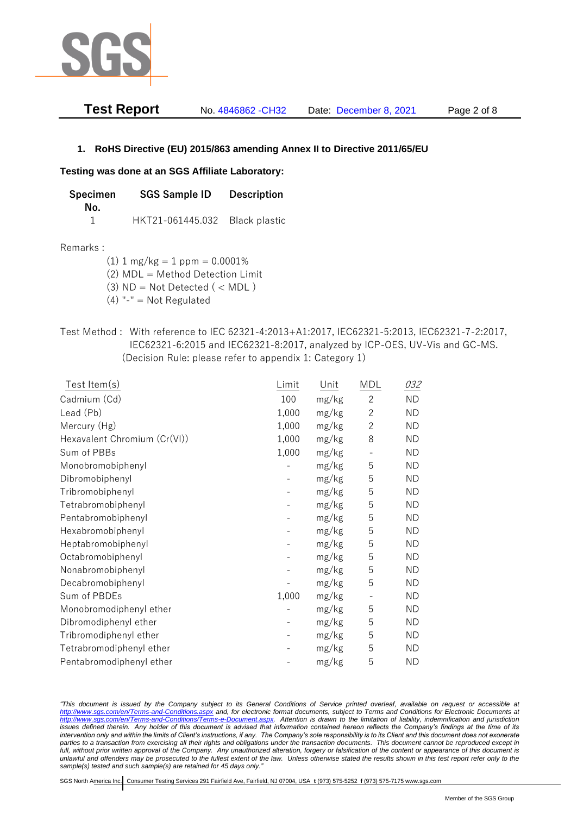

| <b>Test Report</b> | No. 4846862 - CH32 | Date: December 8, 2021 | Page 2 of 8 |
|--------------------|--------------------|------------------------|-------------|
|                    |                    |                        |             |

## **1. RoHS Directive (EU) 2015/863 amending Annex II to Directive 2011/65/EU**

### **Testing was done at an SGS Affiliate Laboratory:**

**Specimen SGS Sample ID Description No.** 1 HKT21-061445.032 Black plastic

### Remarks :

 $(1)$  1 mg/kg = 1 ppm = 0.0001%

(2) MDL = Method Detection Limit

- (3)  $ND = Not detected$  ( < MDL)
- (4) "-" = Not Regulated
- Test Method : With reference to IEC 62321-4:2013+A1:2017, IEC62321-5:2013, IEC62321-7-2:2017, IEC62321-6:2015 and IEC62321-8:2017, analyzed by ICP-OES, UV-Vis and GC-MS. (Decision Rule: please refer to appendix 1: Category 1)

| Test Item(s)                 | Limit | Unit  | <b>MDL</b>     | 032       |
|------------------------------|-------|-------|----------------|-----------|
| Cadmium (Cd)                 | 100   | mg/kg | $\mathbf{2}$   | <b>ND</b> |
| Lead (Pb)                    | 1,000 | mg/kg | $\overline{2}$ | <b>ND</b> |
| Mercury (Hg)                 | 1,000 | mg/kg | $\overline{2}$ | <b>ND</b> |
| Hexavalent Chromium (Cr(VI)) | 1,000 | mg/kg | 8              | <b>ND</b> |
| Sum of PBBs                  | 1,000 | mg/kg |                | <b>ND</b> |
| Monobromobiphenyl            |       | mg/kg | 5              | <b>ND</b> |
| Dibromobiphenyl              |       | mg/kg | 5              | <b>ND</b> |
| Tribromobiphenyl             |       | mg/kg | 5              | <b>ND</b> |
| Tetrabromobiphenyl           |       | mg/kg | 5              | <b>ND</b> |
| Pentabromobiphenyl           |       | mg/kg | 5              | <b>ND</b> |
| Hexabromobiphenyl            |       | mg/kg | 5              | <b>ND</b> |
| Heptabromobiphenyl           |       | mg/kg | 5              | <b>ND</b> |
| Octabromobiphenyl            |       | mg/kg | 5              | <b>ND</b> |
| Nonabromobiphenyl            |       | mg/kg | 5              | <b>ND</b> |
| Decabromobiphenyl            |       | mg/kg | 5              | <b>ND</b> |
| Sum of PBDEs                 | 1,000 | mg/kg |                | <b>ND</b> |
| Monobromodiphenyl ether      |       | mg/kg | 5              | <b>ND</b> |
| Dibromodiphenyl ether        |       | mg/kg | 5              | <b>ND</b> |
| Tribromodiphenyl ether       |       | mg/kg | 5              | <b>ND</b> |
| Tetrabromodiphenyl ether     |       | mg/kg | 5              | <b>ND</b> |
| Pentabromodiphenyl ether     |       | mg/kg | 5              | <b>ND</b> |

*"This document is issued by the Company subject to its General Conditions of Service printed overleaf, available on request or accessible at <http://www.sgs.com/en/Terms-and-Conditions.aspx> and, for electronic format documents, subject to Terms and Conditions for Electronic Documents at [http://www.sgs.com/en/Terms-and-Conditions/Terms-e-Document.aspx.](http://www.sgs.com/en/Terms-and-Conditions/Terms-e-Document.aspx) Attention is drawn to the limitation of liability, indemnification and jurisdiction issues defined therein. Any holder of this document is advised that information contained hereon reflects the Company's findings at the time of its intervention only and within the limits of Client's instructions, if any. The Company's sole responsibility is to its Client and this document does not exonerate parties to a transaction from exercising all their rights and obligations under the transaction documents. This document cannot be reproduced except in full, without prior written approval of the Company. Any unauthorized alteration, forgery or falsification of the content or appearance of this document is unlawful and offenders may be prosecuted to the fullest extent of the law. Unless otherwise stated the results shown in this test report refer only to the sample(s) tested and such sample(s) are retained for 45 days only."*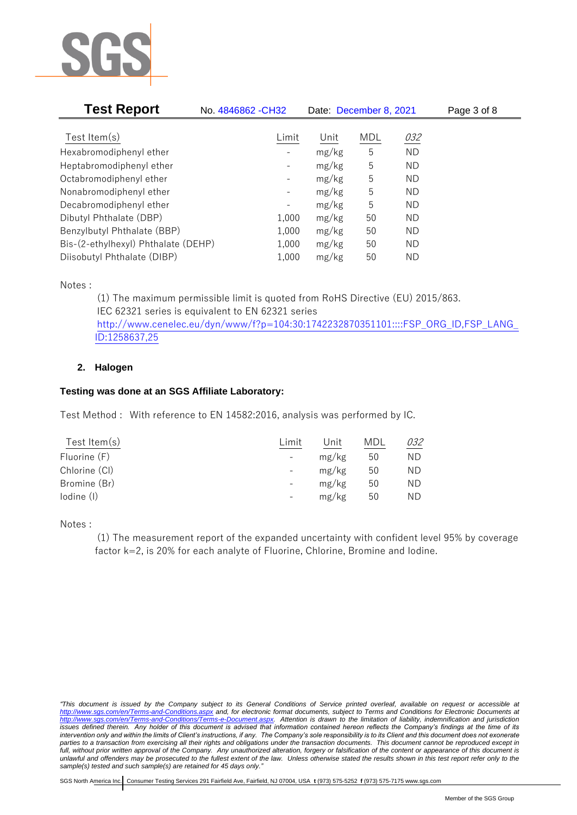

| <b>Test Report</b>                  | No. 4846862 - CH32           | Date: December 8, 2021 |     |           | Page 3 of 8 |  |
|-------------------------------------|------------------------------|------------------------|-----|-----------|-------------|--|
|                                     |                              |                        |     |           |             |  |
| Test Item $(s)$                     | Limit                        | Unit                   | MDL | 032       |             |  |
| Hexabromodiphenyl ether             |                              | mg/kg                  | 5   | <b>ND</b> |             |  |
| Heptabromodiphenyl ether            |                              | mg/kg                  | 5   | ND        |             |  |
| Octabromodiphenyl ether             | $\qquad \qquad \blacksquare$ | mg/kg                  | 5   | ND        |             |  |
| Nonabromodiphenyl ether             | -                            | mg/kg                  | 5   | ND        |             |  |
| Decabromodiphenyl ether             | -                            | mg/kg                  | 5   | ND        |             |  |
| Dibutyl Phthalate (DBP)             | 1,000                        | mg/kg                  | 50  | ND        |             |  |
| Benzylbutyl Phthalate (BBP)         | 1,000                        | mg/kg                  | 50  | ND        |             |  |
| Bis-(2-ethylhexyl) Phthalate (DEHP) | 1,000                        | mg/kg                  | 50  | ND        |             |  |
| Diisobutyl Phthalate (DIBP)         | 1,000                        | mg/kg                  | 50  | ΝD        |             |  |

Notes :

(1) The maximum permissible limit is quoted from RoHS Directive (EU) 2015/863. IEC 62321 series is equivalent to EN 62321 series [http://www.cenelec.eu/dyn/www/f?p=104:30:1742232870351101::::FSP\\_ORG\\_ID,FSP\\_LANG\\_](http://www.cenelec.eu/dyn/www/f?p=104:30:1742232870351101::::FSP_ORG_ID,FSP_LANG_ID:1258637,25) [ID:1258637,25](http://www.cenelec.eu/dyn/www/f?p=104:30:1742232870351101::::FSP_ORG_ID,FSP_LANG_ID:1258637,25)

# **2. Halogen**

# **Testing was done at an SGS Affiliate Laboratory:**

Test Method : With reference to EN 14582:2016, analysis was performed by IC.

| Test Item $(s)$ | Limit                    | Unit  | MDL | 032 |
|-----------------|--------------------------|-------|-----|-----|
| Fluorine (F)    | $\overline{\phantom{a}}$ | mg/kg | 50  | ΝD  |
| Chlorine (CI)   | $\overline{\phantom{0}}$ | mg/kg | 50  | ND  |
| Bromine (Br)    | $\overline{\phantom{0}}$ | mg/kg | 50  | ND  |
| lodine (I)      | $\qquad \qquad -$        | mg/kg | 50  | ND  |
|                 |                          |       |     |     |

Notes :

(1) The measurement report of the expanded uncertainty with confident level 95% by coverage factor k=2, is 20% for each analyte of Fluorine, Chlorine, Bromine and Iodine.

*<sup>&</sup>quot;This document is issued by the Company subject to its General Conditions of Service printed overleaf, available on request or accessible at <http://www.sgs.com/en/Terms-and-Conditions.aspx> and, for electronic format documents, subject to Terms and Conditions for Electronic Documents at [http://www.sgs.com/en/Terms-and-Conditions/Terms-e-Document.aspx.](http://www.sgs.com/en/Terms-and-Conditions/Terms-e-Document.aspx) Attention is drawn to the limitation of liability, indemnification and jurisdiction issues defined therein. Any holder of this document is advised that information contained hereon reflects the Company's findings at the time of its intervention only and within the limits of Client's instructions, if any. The Company's sole responsibility is to its Client and this document does not exonerate parties to a transaction from exercising all their rights and obligations under the transaction documents. This document cannot be reproduced except in full, without prior written approval of the Company. Any unauthorized alteration, forgery or falsification of the content or appearance of this document is unlawful and offenders may be prosecuted to the fullest extent of the law. Unless otherwise stated the results shown in this test report refer only to the sample(s) tested and such sample(s) are retained for 45 days only."*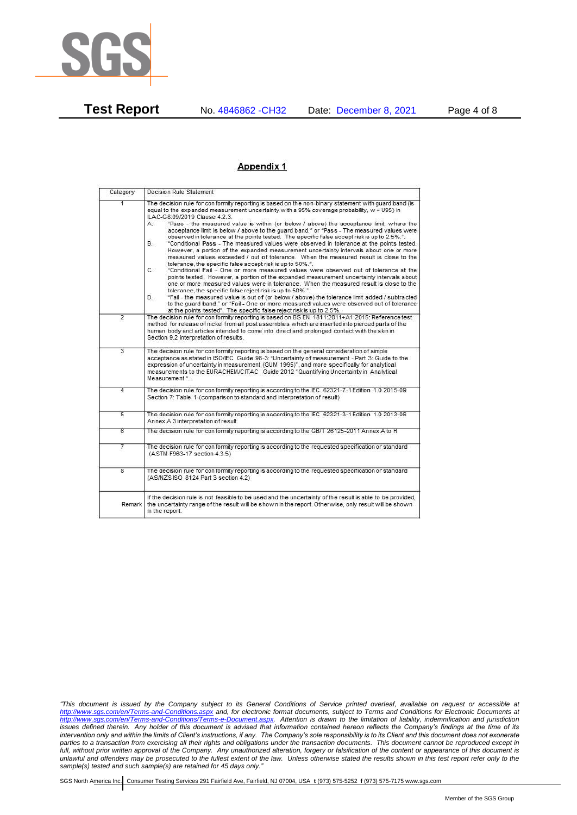

**Test Report** No. 4846862 -CH32 Date: December 8, 2021 Page 4 of 8

#### Appendix 1

| Category                | Decision Rule Statement                                                                                                                                                                                                                                                                                                                                                                                                                                                                                                                                                                                                                                                                                                                                                                                                                                                                                                                                                                                                                                                                                                                                                                                                                                                                                                                                                                                                                                                                                           |  |
|-------------------------|-------------------------------------------------------------------------------------------------------------------------------------------------------------------------------------------------------------------------------------------------------------------------------------------------------------------------------------------------------------------------------------------------------------------------------------------------------------------------------------------------------------------------------------------------------------------------------------------------------------------------------------------------------------------------------------------------------------------------------------------------------------------------------------------------------------------------------------------------------------------------------------------------------------------------------------------------------------------------------------------------------------------------------------------------------------------------------------------------------------------------------------------------------------------------------------------------------------------------------------------------------------------------------------------------------------------------------------------------------------------------------------------------------------------------------------------------------------------------------------------------------------------|--|
| $\overline{1}$          | The decision rule for conformity reporting is based on the non-binary statement with guard band (is<br>equal to the expanded measurement uncertainty with a 95% coverage probability, w = U95) in<br>ILAC-G8:09/2019 Clause 4.2.3.<br>"Pass - the measured value is within (or below / above) the acceptance limit, where the<br>А.<br>acceptance limit is below / above to the quard band." or "Pass - The measured values were<br>observed in tolerance at the points tested. The specific false accept risk is up to 2.5%.".<br>"Conditional Pass - The measured values were observed in tolerance at the points tested.<br>В.<br>However, a portion of the expanded measurement uncertainty intervals about one or more<br>measured values exceeded / out of tolerance. When the measured result is close to the<br>tolerance, the specific false accept risk is up to 50%."<br>C.<br>"Conditional Fail - One or more measured values were observed out of tolerance at the<br>points tested. However, a portion of the expanded measurement uncertainty intervals about<br>one or more measured values were in tolerance. When the measured result is close to the<br>tolerance, the specific false reject risk is up to 50%.".<br>"Fail - the measured value is out of (or below / above) the tolerance limit added / subtracted<br>D.<br>to the quard band." or "Fail - One or more measured values were observed out of tolerance<br>at the points tested". The specific false reject risk is up to 2.5%. |  |
| $\overline{2}$          | The decision rule for conformity reporting is based on BS EN 1811:2011+A1:2015: Reference test<br>method for release of nickel from all post assemblies which are inserted into pierced parts of the<br>human body and articles intended to come into direct and prolonged contact with the skin in<br>Section 9.2 interpretation of results.                                                                                                                                                                                                                                                                                                                                                                                                                                                                                                                                                                                                                                                                                                                                                                                                                                                                                                                                                                                                                                                                                                                                                                     |  |
| $\overline{3}$          | The decision rule for conformity reporting is based on the general consideration of simple<br>acceptance as stated in ISO/IEC Guide 98-3: "Uncertainty of measurement - Part 3: Guide to the<br>expression of uncertainty in measurement (GUM 1995)", and more specifically for analytical<br>measurements to the EURACHEM/CITAC Guide 2012 "Quantifying Uncertainty in Analytical<br>Measurement <sup>*</sup>                                                                                                                                                                                                                                                                                                                                                                                                                                                                                                                                                                                                                                                                                                                                                                                                                                                                                                                                                                                                                                                                                                    |  |
| 4                       | The decision rule for conformity reporting is according to the IEC 62321-7-1 Edition 1.0 2015-09<br>Section 7: Table 1-(comparison to standard and interpretation of result)                                                                                                                                                                                                                                                                                                                                                                                                                                                                                                                                                                                                                                                                                                                                                                                                                                                                                                                                                                                                                                                                                                                                                                                                                                                                                                                                      |  |
| 5                       | The decision rule for conformity reporting is according to the IEC 62321-3-1 Edition 1.0 2013-06<br>Annex A.3 interpretation of result.                                                                                                                                                                                                                                                                                                                                                                                                                                                                                                                                                                                                                                                                                                                                                                                                                                                                                                                                                                                                                                                                                                                                                                                                                                                                                                                                                                           |  |
| 6                       | The decision rule for conformity reporting is according to the GB/T 26125-2011 Annex A to H                                                                                                                                                                                                                                                                                                                                                                                                                                                                                                                                                                                                                                                                                                                                                                                                                                                                                                                                                                                                                                                                                                                                                                                                                                                                                                                                                                                                                       |  |
| 7                       | The decision rule for conformity reporting is according to the requested specification or standard<br>(ASTM F963-17 section 4.3.5)                                                                                                                                                                                                                                                                                                                                                                                                                                                                                                                                                                                                                                                                                                                                                                                                                                                                                                                                                                                                                                                                                                                                                                                                                                                                                                                                                                                |  |
| $\overline{\mathbf{8}}$ | The decision rule for conformity reporting is according to the requested specification or standard<br>(AS/NZS ISO 8124 Part 3 section 4.2)                                                                                                                                                                                                                                                                                                                                                                                                                                                                                                                                                                                                                                                                                                                                                                                                                                                                                                                                                                                                                                                                                                                                                                                                                                                                                                                                                                        |  |
| Remark                  | If the decision rule is not feasible to be used and the uncertainty of the result is able to be provided,<br>the uncertainty range of the result will be shown in the report. Otherwise, only result will be shown<br>in the report.                                                                                                                                                                                                                                                                                                                                                                                                                                                                                                                                                                                                                                                                                                                                                                                                                                                                                                                                                                                                                                                                                                                                                                                                                                                                              |  |

*"This document is issued by the Company subject to its General Conditions of Service printed overleaf, available on request or accessible at <http://www.sgs.com/en/Terms-and-Conditions.aspx> and, for electronic format documents, subject to Terms and Conditions for Electronic Documents at [http://www.sgs.com/en/Terms-and-Conditions/Terms-e-Document.aspx.](http://www.sgs.com/en/Terms-and-Conditions/Terms-e-Document.aspx) Attention is drawn to the limitation of liability, indemnification and jurisdiction issues defined therein. Any holder of this document is advised that information contained hereon reflects the Company's findings at the time of its intervention only and within the limits of Client's instructions, if any. The Company's sole responsibility is to its Client and this document does not exonerate parties to a transaction from exercising all their rights and obligations under the transaction documents. This document cannot be reproduced except in full, without prior written approval of the Company. Any unauthorized alteration, forgery or falsification of the content or appearance of this document is unlawful and offenders may be prosecuted to the fullest extent of the law. Unless otherwise stated the results shown in this test report refer only to the sample(s) tested and such sample(s) are retained for 45 days only."*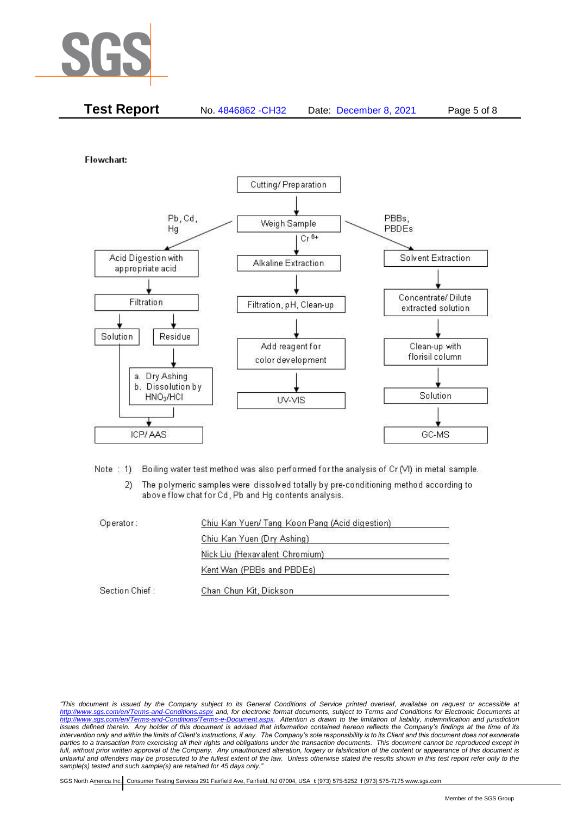

| <b>Test Report</b><br>No. 4846862 - CH32 | Date: December 8, 2021 | Page 5 of 8 |
|------------------------------------------|------------------------|-------------|
|------------------------------------------|------------------------|-------------|

Flowchart:



Note: 1) Boiling water test method was also performed for the analysis of Cr (VI) in metal sample.

The polymeric samples were dissolved totally by pre-conditioning method according to  $2)$ above flow chat for Cd, Pb and Hg contents analysis.

| Operator:      | Chiu Kan Yuen/ Tang Koon Pang (Acid digestion) |  |
|----------------|------------------------------------------------|--|
|                | Chiu Kan Yuen (Dry Ashing)                     |  |
|                | Nick Liu (Hexavalent Chromium)                 |  |
|                | Kent Wan (PBBs and PBDEs)                      |  |
| Section Chief: | Chan Chun Kit, Dickson                         |  |

*"This document is issued by the Company subject to its General Conditions of Service printed overleaf, available on request or accessible at <http://www.sgs.com/en/Terms-and-Conditions.aspx> and, for electronic format documents, subject to Terms and Conditions for Electronic Documents at [http://www.sgs.com/en/Terms-and-Conditions/Terms-e-Document.aspx.](http://www.sgs.com/en/Terms-and-Conditions/Terms-e-Document.aspx) Attention is drawn to the limitation of liability, indemnification and jurisdiction issues defined therein. Any holder of this document is advised that information contained hereon reflects the Company's findings at the time of its intervention only and within the limits of Client's instructions, if any. The Company's sole responsibility is to its Client and this document does not exonerate parties to a transaction from exercising all their rights and obligations under the transaction documents. This document cannot be reproduced except in full, without prior written approval of the Company. Any unauthorized alteration, forgery or falsification of the content or appearance of this document is unlawful and offenders may be prosecuted to the fullest extent of the law. Unless otherwise stated the results shown in this test report refer only to the sample(s) tested and such sample(s) are retained for 45 days only."*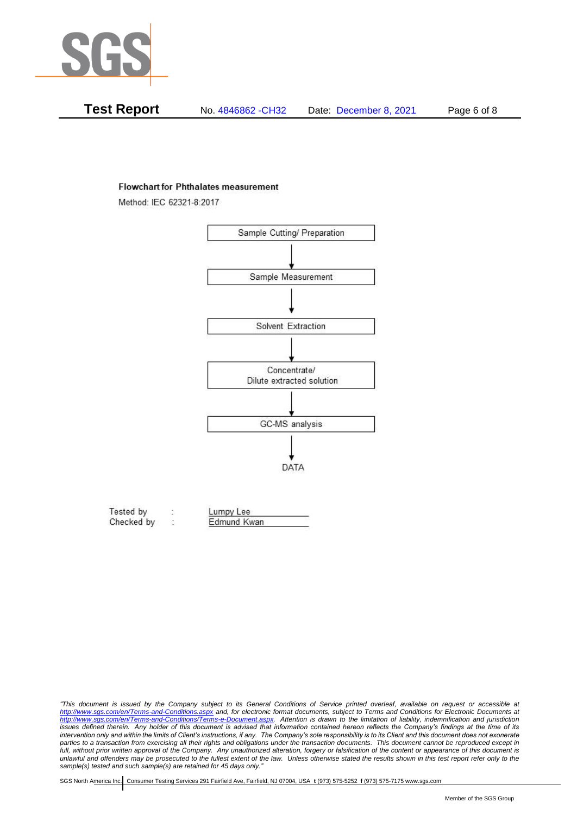

| Test Report | No. 4846862 - CH32 | Date: December 8, 2021 | Page 6 of 8 |
|-------------|--------------------|------------------------|-------------|
|-------------|--------------------|------------------------|-------------|

#### **Flowchart for Phthalates measurement**

Method: IEC 62321-8:2017



| Tested by  | Lumpy Lee   |  |
|------------|-------------|--|
| Checked by | Edmund Kwan |  |

*<sup>&</sup>quot;This document is issued by the Company subject to its General Conditions of Service printed overleaf, available on request or accessible at <http://www.sgs.com/en/Terms-and-Conditions.aspx> and, for electronic format documents, subject to Terms and Conditions for Electronic Documents at [http://www.sgs.com/en/Terms-and-Conditions/Terms-e-Document.aspx.](http://www.sgs.com/en/Terms-and-Conditions/Terms-e-Document.aspx) Attention is drawn to the limitation of liability, indemnification and jurisdiction issues defined therein. Any holder of this document is advised that information contained hereon reflects the Company's findings at the time of its intervention only and within the limits of Client's instructions, if any. The Company's sole responsibility is to its Client and this document does not exonerate*  parties to a transaction from exercising all their rights and obligations under the transaction documents. This document cannot be reproduced except in *full, without prior written approval of the Company. Any unauthorized alteration, forgery or falsification of the content or appearance of this document is unlawful and offenders may be prosecuted to the fullest extent of the law. Unless otherwise stated the results shown in this test report refer only to the sample(s) tested and such sample(s) are retained for 45 days only."*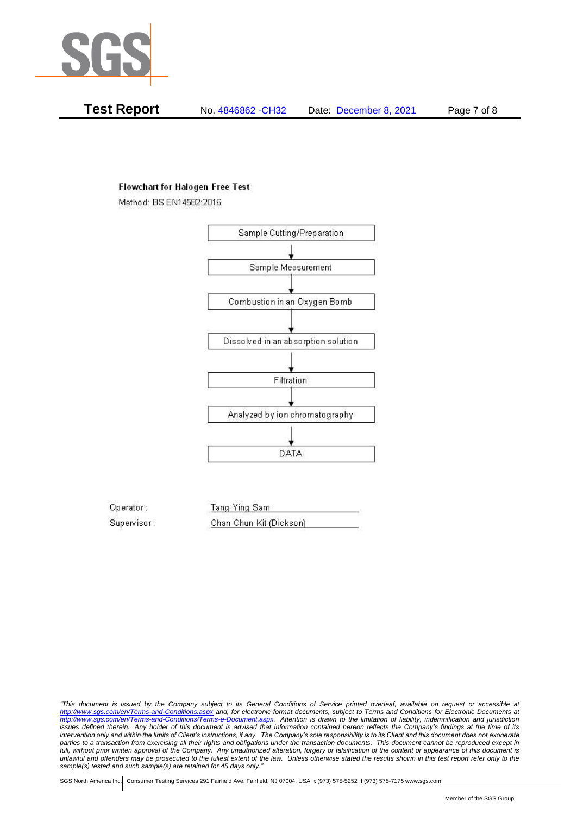

**Test Report** No. 4846862 -CH32 Date: December 8, 2021 Page 7 of 8

## **Flowchart for Halogen Free Test**

Method: BS EN14582:2016



Operator: Tang Ying Sam Supervisor: Chan Chun Kit (Dickson)

*"This document is issued by the Company subject to its General Conditions of Service printed overleaf, available on request or accessible at <http://www.sgs.com/en/Terms-and-Conditions.aspx> and, for electronic format documents, subject to Terms and Conditions for Electronic Documents at [http://www.sgs.com/en/Terms-and-Conditions/Terms-e-Document.aspx.](http://www.sgs.com/en/Terms-and-Conditions/Terms-e-Document.aspx) Attention is drawn to the limitation of liability, indemnification and jurisdiction issues defined therein. Any holder of this document is advised that information contained hereon reflects the Company's findings at the time of its intervention only and within the limits of Client's instructions, if any. The Company's sole responsibility is to its Client and this document does not exonerate parties to a transaction from exercising all their rights and obligations under the transaction documents. This document cannot be reproduced except in full, without prior written approval of the Company. Any unauthorized alteration, forgery or falsification of the content or appearance of this document is unlawful and offenders may be prosecuted to the fullest extent of the law. Unless otherwise stated the results shown in this test report refer only to the sample(s) tested and such sample(s) are retained for 45 days only."*